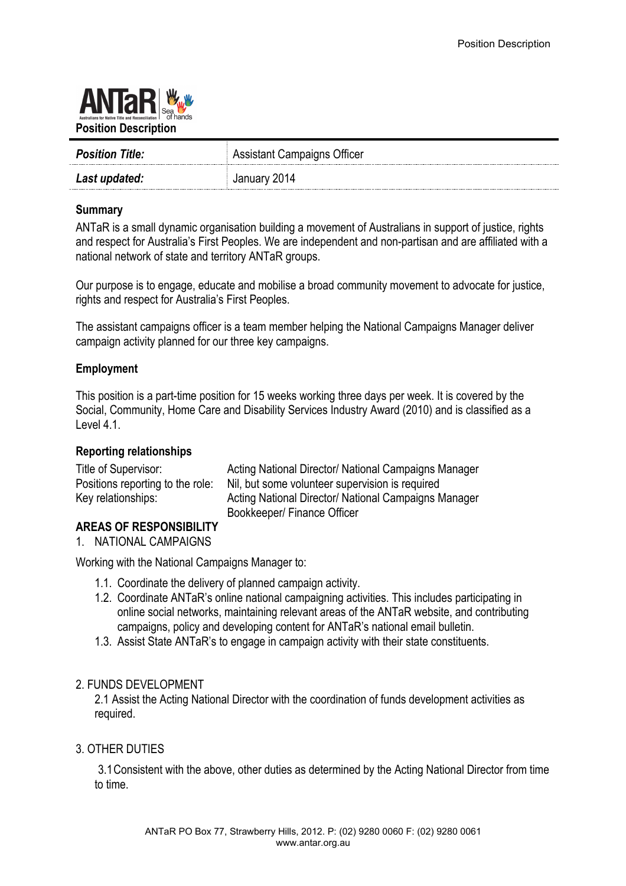

| <b>Position Title:</b> | <b>Assistant Campaigns Officer</b> |
|------------------------|------------------------------------|
| Last updated:          | January 2014                       |

### **Summary**

ANTaR is a small dynamic organisation building a movement of Australians in support of justice, rights and respect for Australia's First Peoples. We are independent and non-partisan and are affiliated with a national network of state and territory ANTaR groups.

Our purpose is to engage, educate and mobilise a broad community movement to advocate for justice, rights and respect for Australia's First Peoples.

The assistant campaigns officer is a team member helping the National Campaigns Manager deliver campaign activity planned for our three key campaigns.

### **Employment**

This position is a part-time position for 15 weeks working three days per week. It is covered by the Social, Community, Home Care and Disability Services Industry Award (2010) and is classified as a Level 4.1.

#### **Reporting relationships**

| Title of Supervisor:             | Acting National Director/ National Campaigns Manager |
|----------------------------------|------------------------------------------------------|
| Positions reporting to the role: | Nil, but some volunteer supervision is required      |
| Key relationships:               | Acting National Director/ National Campaigns Manager |
|                                  | Bookkeeper/ Finance Officer                          |

# **AREAS OF RESPONSIBILITY**

1. NATIONAL CAMPAIGNS

Working with the National Campaigns Manager to:

- 1.1. Coordinate the delivery of planned campaign activity.
- 1.2. Coordinate ANTaR's online national campaigning activities. This includes participating in online social networks, maintaining relevant areas of the ANTaR website, and contributing campaigns, policy and developing content for ANTaR's national email bulletin.
- 1.3. Assist State ANTaR's to engage in campaign activity with their state constituents.

#### 2. FUNDS DEVELOPMENT

2.1 Assist the Acting National Director with the coordination of funds development activities as required.

#### 3. OTHER DUTIES

3.1Consistent with the above, other duties as determined by the Acting National Director from time to time.